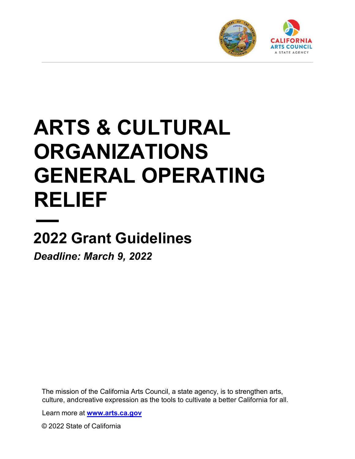

# **ARTS & CULTURAL ORGANIZATIONS GENERAL OPERATING RELIEF**

## **2022 Grant Guidelines**

*Deadline: March 9, 2022*

The mission of the California Arts Council, a state agency, is to strengthen arts, culture, and creative expression as the tools to cultivate a better California for all.

Learn more at **[www.arts.ca.gov](http://www.arts.ca.gov/)**

© 2022 State of California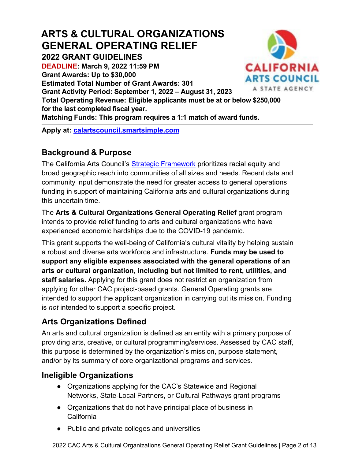## **ARTS & CULTURAL ORGANIZATIONS GENERAL OPERATING RELIEF**

**2022 GRANT GUIDELINES**

**DEADLINE: March 9, 2022 11:59 PM Grant Awards: Up to \$30,000**

**Estimated Total Number of Grant Awards: 301** 

**Grant Activity Period: September 1, 2022 – August 31, 2023**



**Total Operating Revenue: Eligible applicants must be at or below \$250,000 for the last completed fiscal year. Matching Funds: This program requires a 1:1 match of award funds.**

**Apply at: [calartscouncil.smartsimple.com](https://calartscouncil.smartsimple.com/)**

## **Background & Purpose**

The California Arts Council's **Strategic Framework** prioritizes racial equity and broad geographic reach into communities of all sizes and needs. Recent data and community input demonstrate the need for greater access to general operations funding in support of maintaining California arts and cultural organizations during this uncertain time.

The **Arts & Cultural Organizations General Operating Relief** grant program intends to provide relief funding to arts and cultural organizations who have experienced economic hardships due to the COVID-19 pandemic.

This grant supports the well-being of California's cultural vitality by helping sustain a robust and diverse arts workforce and infrastructure. **Funds may be used to support any eligible expenses associated with the general operations of an arts or cultural organization, including but not limited to rent, utilities, and staff salaries.** Applying for this grant does not restrict an organization from applying for other CAC project-based grants. General Operating grants are intended to support the applicant organization in carrying out its mission. Funding is *not* intended to support a specific project.

## **Arts Organizations Defined**

An arts and cultural organization is defined as an entity with a primary purpose of providing arts, creative, or cultural programming/services. Assessed by CAC staff, this purpose is determined by the organization's mission, purpose statement, and/or by its summary of core organizational programs and services.

## **Ineligible Organizations**

- Organizations applying for the CAC's Statewide and Regional Networks, State-Local Partners, or Cultural Pathways grant programs
- Organizations that do not have principal place of business in California
- Public and private colleges and universities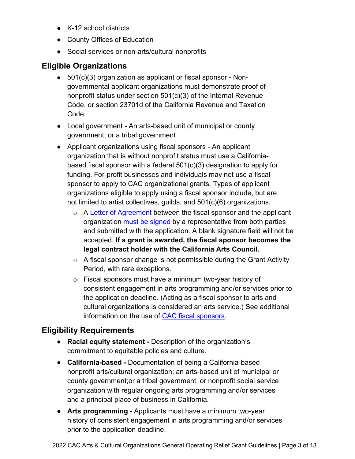- K-12 school districts
- County Offices of Education
- Social services or non-arts/cultural nonprofits

## **Eligible Organizations**

- 501(c)(3) organization as applicant or fiscal sponsor Nongovernmental applicant organizations must demonstrate proof of nonprofit status under section 501(c)(3) of the Internal Revenue Code, or section 23701d of the California Revenue and Taxation Code.
- Local government An arts-based unit of municipal or county government; or a tribal government
- Applicant organizations using fiscal sponsors An applicant organization that is without nonprofit status must use a Californiabased fiscal sponsor with a federal 501(c)(3) designation to apply for funding. For-profit businesses and individuals may not use a fiscal sponsor to apply to CAC organizational grants. Types of applicant organizations eligible to apply using a fiscal sponsor include, but are not limited to artist collectives, guilds, and 501(c)(6) organizations.
	- o A [Letter of Agreement](https://arts.ca.gov/fiscalsponsorletter/) between the fiscal sponsor and the applicant organization [must be signed](https://arts.ca.gov/definitionofasignature/) by a representative from both parties and submitted with the application. A blank signature field will not be accepted. **If a grant is awarded, the fiscal sponsor becomes the legal contract holder with the California Arts Council.**
	- $\circ$  A fiscal sponsor change is not permissible during the Grant Activity Period, with rare exceptions.
	- o Fiscal sponsors must have a minimum two-year history of consistent engagement in arts programming and/or services prior to the application deadline. (Acting as a fiscal sponsor to arts and cultural organizations is considered an arts service.) See additional information on the use of [CAC fiscal sponsors.](https://arts.ca.gov/fiscalsponsorpolicy/)

### **Eligibility Requirements**

- **Racial equity statement -** Description of the organization's commitment to equitable policies and culture.
- **California-based -** Documentation of being a California-based nonprofit arts/cultural organization; an arts-based unit of municipal or county government;or a tribal government, or nonprofit social service organization with regular ongoing arts programming and/or services and a principal place of business in California.
- **Arts programming -** Applicants must have a minimum two-year history of consistent engagement in arts programming and/or services prior to the application deadline.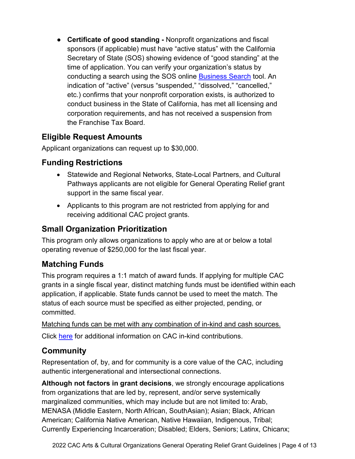● **Certificate of good standing -** Nonprofit organizations and fiscal sponsors (if applicable) must have "active status" with the California Secretary of State (SOS) showing evidence of "good standing" at the time of application. You can verify your organization's status by conducting a search using the SOS online [Business Search](https://businesssearch.sos.ca.gov/) tool. An indication of "active" (versus "suspended," "dissolved," "cancelled," etc.) confirms that your nonprofit corporation exists, is authorized to conduct business in the State of California, has met all licensing and corporation requirements, and has not received a suspension from the Franchise Tax Board.

## **Eligible Request Amounts**

Applicant organizations can request up to \$30,000.

## **Funding Restrictions**

- Statewide and Regional Networks, State-Local Partners, and Cultural Pathways applicants are not eligible for General Operating Relief grant support in the same fiscal year.
- Applicants to this program are not restricted from applying for and receiving additional CAC project grants.

## **Small Organization Prioritization**

This program only allows organizations to apply who are at or below a total operating revenue of \$250,000 for the last fiscal year.

## **Matching Funds**

This program requires a 1:1 match of award funds. If applying for multiple CAC grants in a single fiscal year, distinct matching funds must be identified within each application, if applicable. State funds cannot be used to meet the match. The status of each source must be specified as either projected, pending, or committed.

Matching funds can be met with any combination of in-kind and cash sources. Click [here](https://arts.ca.gov/inkind/) for additional information on CAC in-kind contributions.

## **Community**

Representation of, by, and for community is a core value of the CAC, including authentic intergenerational and intersectional connections.

**Although not factors in grant decisions**, we strongly encourage applications from organizations that are led by, represent, and/or serve systemically marginalized communities, which may include but are not limited to: Arab, MENASA (Middle Eastern, North African, SouthAsian); Asian; Black, African American; California Native American, Native Hawaiian, Indigenous, Tribal; Currently Experiencing Incarceration; Disabled; Elders, Seniors; Latinx, Chicanx;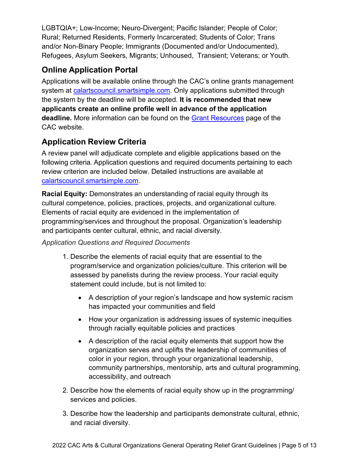LGBTQIA+; Low-Income; Neuro-Divergent; Pacific Islander; People of Color; Rural; Returned Residents, Formerly Incarcerated; Students of Color; Trans and/or Non-Binary People; Immigrants (Documented and/or Undocumented), Refugees, Asylum Seekers, Migrants; Unhoused, Transient; Veterans; or Youth.

## **Online Application Portal**

Applications will be available online through the CAC's online grants management system at [calartscouncil.smartsimple.com.](https://calartscouncil.smartsimple.com/s_Login.jsp) Only applications submitted through the system by the deadline will be accepted. **It is recommended that new applicants create an online profile well in advance of the application deadline.** More information can be found on the [Grant Resources](https://arts.ca.gov/grants/resources/) page of the CAC website.

## **Application Review Criteria**

A review panel will adjudicate complete and eligible applications based on the following criteria. Application questions and required documents pertaining to each review criterion are included below. Detailed instructions are available at [calartscouncil.smartsimple.com.](https://calartscouncil.smartsimple.com/s_Login.jsp)

**Racial Equity:** Demonstrates an understanding of racial equity through its cultural competence, policies, practices, projects, and organizational culture. Elements of racial equity are evidenced in the implementation of programming/services and throughout the proposal. Organization's leadership and participants center cultural, ethnic, and racial diversity.

#### *Application Questions and Required Documents*

- 1. Describe the elements of racial equity that are essential to the program/service and organization policies/culture. This criterion will be assessed by panelists during the review process. Your racial equity statement could include, but is not limited to:
	- A description of your region's landscape and how systemic racism has impacted your communities and field
	- How your organization is addressing issues of systemic inequities through racially equitable policies and practices
	- A description of the racial equity elements that support how the organization serves and uplifts the leadership of communities of color in your region, through your organizational leadership, community partnerships, mentorship, arts and cultural programming, accessibility, and outreach
- 2. Describe how the elements of racial equity show up in the programming/ services and policies.
- 3. Describe how the leadership and participants demonstrate cultural, ethnic, and racial diversity.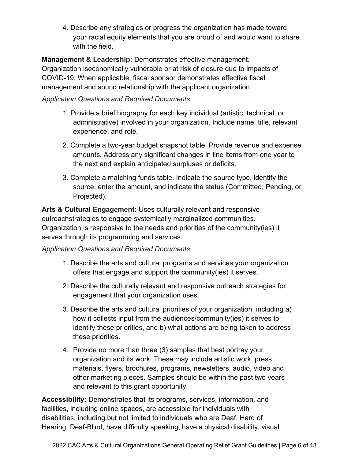4. Describe any strategies or progress the organization has made toward your racial equity elements that you are proud of and would want to share with the field.

**Management & Leadership:** Demonstrates effective management. Organization iseconomically vulnerable or at risk of closure due to impacts of COVID-19. When applicable, fiscal sponsor demonstrates effective fiscal management and sound relationship with the applicant organization.

#### *Application Questions and Required Documents*

- 1. Provide a brief biography for each key individual (artistic, technical, or administrative) involved in your organization. Include name, title, relevant experience, and role.
- 2. Complete a two-year budget snapshot table. Provide revenue and expense amounts. Address any significant changes in line items from one year to the next and explain anticipated surpluses or deficits.
- 3. Complete a matching funds table. Indicate the source type, identify the source, enter the amount, and indicate the status (Committed, Pending, or Projected).

**Arts & Cultural Engagement:** Uses culturally relevant and responsive outreachstrategies to engage systemically marginalized communities. Organization is responsive to the needs and priorities of the community(ies) it serves through its programming and services.

#### *Application Questions and Required Documents*

- 1. Describe the arts and cultural programs and services your organization offers that engage and support the community(ies) it serves.
- 2. Describe the culturally relevant and responsive outreach strategies for engagement that your organization uses.
- 3. Describe the arts and cultural priorities of your organization, including a) how it collects input from the audiences/community(ies) it serves to identify these priorities, and b) what actions are being taken to address these priorities.
- 4. Provide no more than three (3) samples that best portray your organization and its work. These may include artistic work, press materials, flyers, brochures, programs, newsletters, audio, video and other marketing pieces. Samples should be within the past two years and relevant to this grant opportunity.

**Accessibility:** Demonstrates that its programs, services, information, and facilities, including online spaces, are accessible for individuals with disabilities, including but not limited to individuals who are Deaf, Hard of Hearing, Deaf-Blind, have difficulty speaking, have a physical disability, visual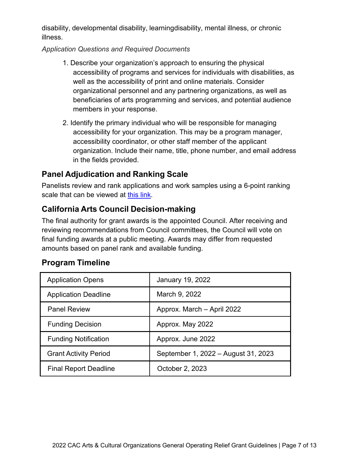disability, developmental disability, learningdisability, mental illness, or chronic illness.

#### *Application Questions and Required Documents*

- 1. Describe your organization's approach to ensuring the physical accessibility of programs and services for individuals with disabilities, as well as the accessibility of print and online materials. Consider organizational personnel and any partnering organizations, as well as beneficiaries of arts programming and services, and potential audience members in your response.
- 2. Identify the primary individual who will be responsible for managing accessibility for your organization. This may be a program manager, accessibility coordinator, or other staff member of the applicant organization. Include their name, title, phone number, and email address in the fields provided.

## **Panel Adjudication and Ranking Scale**

Panelists review and rank applications and work samples using a 6-point ranking scale that can be viewed at [this link.](https://arts.ca.gov/rankingguide/)

## **California Arts Council Decision-making**

The final authority for grant awards is the appointed Council. After receiving and reviewing recommendations from Council committees, the Council will vote on final funding awards at a public meeting. Awards may differ from requested amounts based on panel rank and available funding.

|  | <b>Program Timeline</b> |
|--|-------------------------|
|--|-------------------------|

| <b>Application Opens</b>     | January 19, 2022                    |
|------------------------------|-------------------------------------|
| <b>Application Deadline</b>  | March 9, 2022                       |
| <b>Panel Review</b>          | Approx. March - April 2022          |
| <b>Funding Decision</b>      | Approx. May 2022                    |
| <b>Funding Notification</b>  | Approx. June 2022                   |
| <b>Grant Activity Period</b> | September 1, 2022 - August 31, 2023 |
| <b>Final Report Deadline</b> | October 2, 2023                     |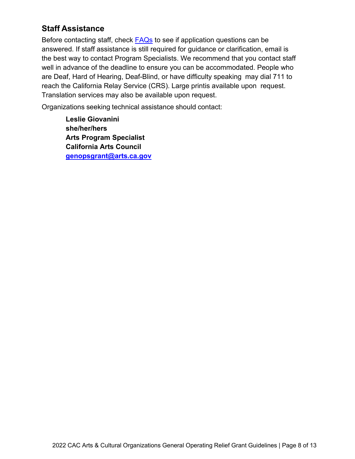## **Staff Assistance**

Before contacting staff, check **FAQs** to see if application questions can be answered. If staff assistance is still required for guidance or clarification, email is the best way to contact Program Specialists. We recommend that you contact staff well in advance of the deadline to ensure you can be accommodated. People who are Deaf, Hard of Hearing, Deaf-Blind, or have difficulty speaking may dial 711 to reach the California Relay Service (CRS). Large printis available upon request. Translation services may also be available upon request.

Organizations seeking technical assistance should contact:

**Leslie Giovanini she/her/hers Arts Program Specialist California Arts Council [genopsgrant@arts.ca.gov](mailto:genopsgrant@arts.ca.gov)**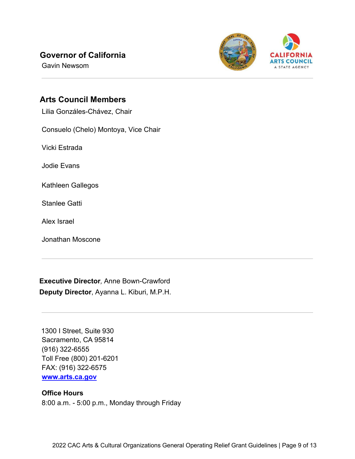## **Governor of California**

Gavin Newsom



#### **Arts Council Members**

Lilia Gonzáles-Chávez, Chair

Consuelo (Chelo) Montoya, Vice Chair

Vicki Estrada

Jodie Evans

Kathleen Gallegos

Stanlee Gatti

Alex Israel

Jonathan Moscone

**Executive Director***,* Anne Bown-Crawford **Deputy Director**, Ayanna L. Kiburi, M.P.H.

1300 I Street, Suite 930 Sacramento, CA 95814 (916) 322-6555 Toll Free (800) 201-6201 FAX: (916) 322-6575  **[www.arts.ca.gov](http://www.arts.ca.gov/)**

#### **Office Hours**

8:00 a.m. - 5:00 p.m., Monday through Friday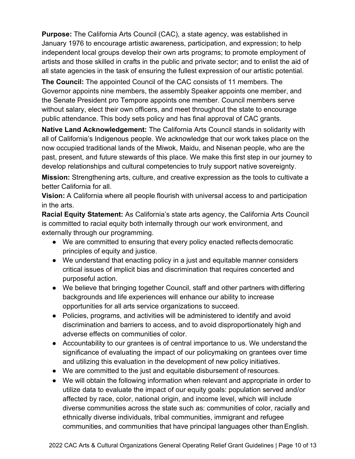**Purpose:** The California Arts Council (CAC), a state agency, was established in January 1976 to encourage artistic awareness, participation, and expression; to help independent local groups develop their own arts programs; to promote employment of artists and those skilled in crafts in the public and private sector; and to enlist the aid of all state agencies in the task of ensuring the fullest expression of our artistic potential.

**The Council:** The appointed Council of the CAC consists of 11 members. The Governor appoints nine members, the assembly Speaker appoints one member, and the Senate President pro Tempore appoints one member. Council members serve without salary, elect their own officers, and meet throughout the state to encourage public attendance. This body sets policy and has final approval of CAC grants.

**Native Land Acknowledgement:** The California Arts Council stands in solidarity with all of California's Indigenous people. We acknowledge that our work takes place on the now occupied traditional lands of the Miwok, Maidu, and Nisenan people, who are the past, present, and future stewards of this place. We make this first step in our journey to develop relationships and cultural competencies to truly support native sovereignty.

**Mission:** Strengthening arts, culture, and creative expression as the tools to cultivate a better California for all.

**Vision:** A California where all people flourish with universal access to and participation in the arts.

**Racial Equity Statement:** As California's state arts agency, the California Arts Council is committed to racial equity both internally through our work environment, and externally through our programming.

- We are committed to ensuring that every policy enacted reflects democratic principles of equity and justice.
- We understand that enacting policy in a just and equitable manner considers critical issues of implicit bias and discrimination that requires concerted and purposeful action.
- We believe that bringing together Council, staff and other partners with differing backgrounds and life experiences will enhance our ability to increase opportunities for all arts service organizations to succeed.
- Policies, programs, and activities will be administered to identify and avoid discrimination and barriers to access, and to avoid disproportionately high and adverse effects on communities of color.
- Accountability to our grantees is of central importance to us. We understand the significance of evaluating the impact of our policymaking on grantees over time and utilizing this evaluation in the development of new policy initiatives.
- We are committed to the just and equitable disbursement of resources.
- We will obtain the following information when relevant and appropriate in order to utilize data to evaluate the impact of our equity goals: population served and/or affected by race, color, national origin, and income level, which will include diverse communities across the state such as: communities of color, racially and ethnically diverse individuals, tribal communities, immigrant and refugee communities, and communities that have principal languages other thanEnglish.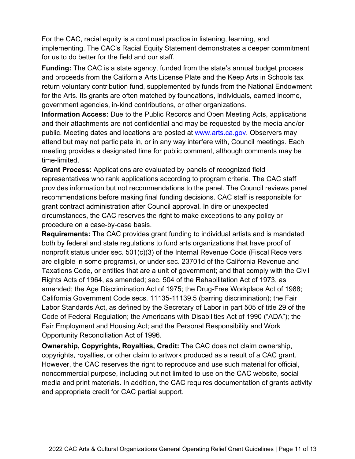For the CAC, racial equity is a continual practice in listening, learning, and implementing. The CAC's Racial Equity Statement demonstrates a deeper commitment for us to do better for the field and our staff.

**Funding:** The CAC is a state agency, funded from the state's annual budget process and proceeds from the California Arts License Plate and the Keep Arts in Schools tax return voluntary contribution fund, supplemented by funds from the National Endowment for the Arts. Its grants are often matched by foundations, individuals, earned income, government agencies, in-kind contributions, or other organizations.

**Information Access:** Due to the Public Records and Open Meeting Acts, applications and their attachments are not confidential and may be requested by the media and/or public. Meeting dates and locations are posted at [www.arts.ca.gov.](http://www.arts.ca.gov/) Observers may attend but may not participate in, or in any way interfere with, Council meetings. Each meeting provides a designated time for public comment, although comments may be time-limited.

**Grant Process:** Applications are evaluated by panels of recognized field representatives who rank applications according to program criteria. The CAC staff provides information but not recommendations to the panel. The Council reviews panel recommendations before making final funding decisions. CAC staff is responsible for grant contract administration after Council approval. In dire or unexpected circumstances, the CAC reserves the right to make exceptions to any policy or procedure on a case-by-case basis.

**Requirements:** The CAC provides grant funding to individual artists and is mandated both by federal and state regulations to fund arts organizations that have proof of nonprofit status under sec. 501(c)(3) of the Internal Revenue Code (Fiscal Receivers are eligible in some programs), or under sec. 23701d of the California Revenue and Taxations Code, or entities that are a unit of government; and that comply with the Civil Rights Acts of 1964, as amended; sec. 504 of the Rehabilitation Act of 1973, as amended; the Age Discrimination Act of 1975; the Drug-Free Workplace Act of 1988; California Government Code secs. 11135-11139.5 (barring discrimination); the Fair Labor Standards Act, as defined by the Secretary of Labor in part 505 of title 29 of the Code of Federal Regulation; the Americans with Disabilities Act of 1990 ("ADA"); the Fair Employment and Housing Act; and the Personal Responsibility and Work Opportunity Reconciliation Act of 1996.

**Ownership, Copyrights, Royalties, Credit:** The CAC does not claim ownership, copyrights, royalties, or other claim to artwork produced as a result of a CAC grant. However, the CAC reserves the right to reproduce and use such material for official, noncommercial purpose, including but not limited to use on the CAC website, social media and print materials. In addition, the CAC requires documentation of grants activity and appropriate credit for CAC partial support.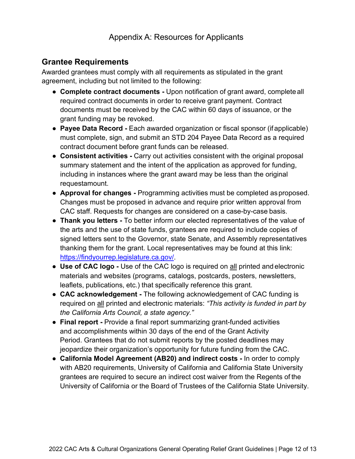## **Grantee Requirements**

Awarded grantees must comply with all requirements as stipulated in the grant agreement, including but not limited to the following:

- **Complete contract documents -** Upon notification of grant award, complete all required contract documents in order to receive grant payment. Contract documents must be received by the CAC within 60 days of issuance, or the grant funding may be revoked.
- **Payee Data Record -** Each awarded organization or fiscal sponsor (if applicable) must complete, sign, and submit an STD 204 Payee Data Record as a required contract document before grant funds can be released.
- **Consistent activities -** Carry out activities consistent with the original proposal summary statement and the intent of the application as approved for funding, including in instances where the grant award may be less than the original requestamount.
- **Approval for changes -** Programming activities must be completed asproposed. Changes must be proposed in advance and require prior written approval from CAC staff. Requests for changes are considered on a case-by-case basis.
- **Thank you letters -** To better inform our elected representatives of the value of the arts and the use of state funds, grantees are required to include copies of signed letters sent to the Governor, state Senate, and Assembly representatives thanking them for the grant. Local representatives may be found at this link: [https://findyourrep.legislature.ca.gov/.](https://findyourrep.legislature.ca.gov/)
- **Use of CAC logo -** Use of the CAC logo is required on all printed and electronic materials and websites (programs, catalogs, postcards, posters, newsletters, leaflets, publications, etc.) that specifically reference this grant.
- **CAC acknowledgement -** The following acknowledgement of CAC funding is required on all printed and electronic materials: *"This activity is funded in part by the California Arts Council, a state agency."*
- **Final report -** Provide a final report summarizing grant-funded activities and accomplishments within 30 days of the end of the Grant Activity Period. Grantees that do not submit reports by the posted deadlines may jeopardize their organization's opportunity for future funding from the CAC.
- **California Model Agreement (AB20) and indirect costs -** In order to comply with AB20 requirements, University of California and California State University grantees are required to secure an indirect cost waiver from the Regents of the University of California or the Board of Trustees of the California State University.